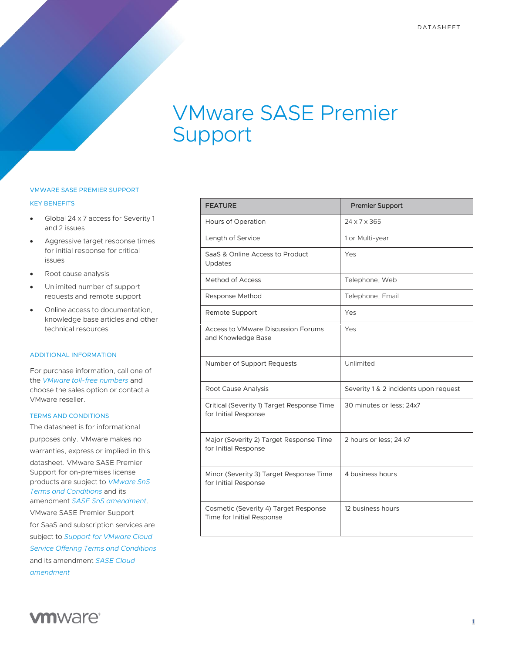# VMware SASE Premier Support

### VMWARE SASE PREMIER SUPPORT

#### KEY BENEFITS

- Global 24 x 7 access for Severity 1 and 2 issues
- Aggressive target response times for initial response for critical issues
- Root cause analysis
- Unlimited number of support requests and remote support
- Online access to documentation, knowledge base articles and other technical resources

#### ADDITIONAL INFORMATION

For purchase information, call one of the *[VMware toll-free numbers](https://www.vmware.com/support/contacts/us_support.html)* and choose the sales option or contact a VMware reseller.

#### TERMS AND CONDITIONS

The datasheet is for informational purposes only. VMware makes no warranties, express or implied in this datasheet. VMware SASE Premier Support for on-premises license products are subject to *[VMware SnS](https://www.vmware.com/content/dam/digitalmarketing/vmware/en/pdf/support/vmware-support-terms-conditions.pdf)  Terms and [Conditions](https://www.vmware.com/content/dam/digitalmarketing/vmware/en/pdf/support/vmware-support-terms-conditions.pdf)* and its amendment *SASE [SnS amendment](https://www.vmware.com/content/dam/digitalmarketing/vmware/en/pdf/microsites/sase/sase-vmware-amendment-sns.pdf)*. VMware SASE Premier Support for SaaS and subscription services are subject to *[Support for VMware Cloud](https://www.vmware.com/content/dam/digitalmarketing/vmware/en/pdf/support/vmw-cloud-service-support-terms.pdf) [Service Offering Terms and Conditions](https://www.vmware.com/content/dam/digitalmarketing/vmware/en/pdf/support/vmw-cloud-service-support-terms.pdf)* and its amendment *[SASE Cloud](https://www.vmware.com/content/dam/digitalmarketing/vmware/en/pdf/microsites/sase/sase-vmware-amendment-cloud.pdf) [amendment](https://www.vmware.com/content/dam/digitalmarketing/vmware/en/pdf/microsites/sase/sase-vmware-amendment-cloud.pdf)*

| <b>FEATURE</b>                                                     | <b>Premier Support</b>                |
|--------------------------------------------------------------------|---------------------------------------|
| Hours of Operation                                                 | $24 \times 7 \times 365$              |
| Length of Service                                                  | 1 or Multi-year                       |
| SaaS & Online Access to Product<br>Updates                         | Yes                                   |
| <b>Method of Access</b>                                            | Telephone, Web                        |
| Response Method                                                    | Telephone, Email                      |
| Remote Support                                                     | Yes                                   |
| Access to VMware Discussion Forums<br>and Knowledge Base           | Yes                                   |
| Number of Support Requests                                         | Unlimited                             |
| Root Cause Analysis                                                | Severity 1 & 2 incidents upon request |
| Critical (Severity 1) Target Response Time<br>for Initial Response | 30 minutes or less; 24x7              |
| Major (Severity 2) Target Response Time<br>for Initial Response    | 2 hours or less; 24 x7                |
| Minor (Severity 3) Target Response Time<br>for Initial Response    | 4 business hours                      |
| Cosmetic (Severity 4) Target Response<br>Time for Initial Response | 12 business hours                     |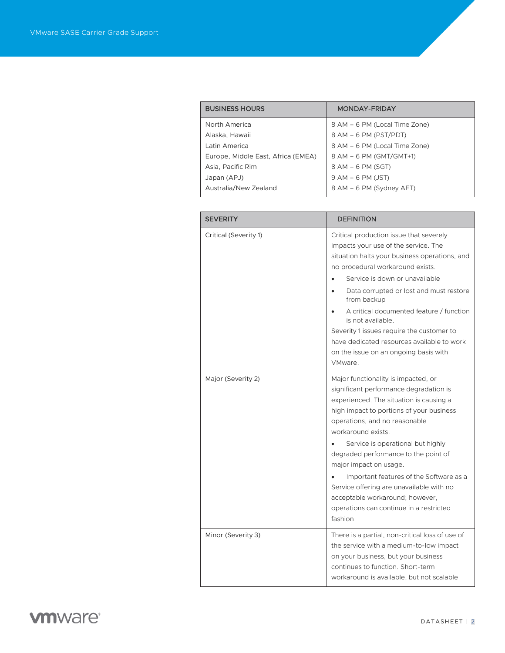| <b>BUSINESS HOURS</b>              | MONDAY-FRIDAY                 |
|------------------------------------|-------------------------------|
| North America                      | 8 AM – 6 PM (Local Time Zone) |
| Alaska, Hawaii                     | 8 AM - 6 PM (PST/PDT)         |
| Latin America                      | 8 AM - 6 PM (Local Time Zone) |
| Europe, Middle East, Africa (EMEA) | 8 AM - 6 PM (GMT/GMT+1)       |
| Asia, Pacific Rim                  | 8 AM - 6 PM (SGT)             |
| Japan (APJ)                        | $9$ AM $-6$ PM (JST)          |
| Australia/New Zealand              | 8 AM - 6 PM (Sydney AET)      |

| <b>SEVERITY</b>       | <b>DEFINITION</b>                                                                                                                                                                                                                                                                                                                                                                                                                                                                                                  |
|-----------------------|--------------------------------------------------------------------------------------------------------------------------------------------------------------------------------------------------------------------------------------------------------------------------------------------------------------------------------------------------------------------------------------------------------------------------------------------------------------------------------------------------------------------|
| Critical (Severity 1) | Critical production issue that severely<br>impacts your use of the service. The<br>situation halts your business operations, and<br>no procedural workaround exists.<br>Service is down or unavailable<br>Data corrupted or lost and must restore<br>from backup<br>A critical documented feature / function<br>is not available.<br>Severity 1 issues require the customer to<br>have dedicated resources available to work<br>on the issue on an ongoing basis with<br>VMware.                                   |
| Major (Severity 2)    | Major functionality is impacted, or<br>significant performance degradation is<br>experienced. The situation is causing a<br>high impact to portions of your business<br>operations, and no reasonable<br>workaround exists.<br>Service is operational but highly<br>degraded performance to the point of<br>major impact on usage.<br>Important features of the Software as a<br>Service offering are unavailable with no<br>acceptable workaround; however,<br>operations can continue in a restricted<br>fashion |
| Minor (Severity 3)    | There is a partial, non-critical loss of use of<br>the service with a medium-to-low impact<br>on your business, but your business<br>continues to function. Short-term<br>workaround is available, but not scalable                                                                                                                                                                                                                                                                                                |

**vmware**<sup>®</sup>